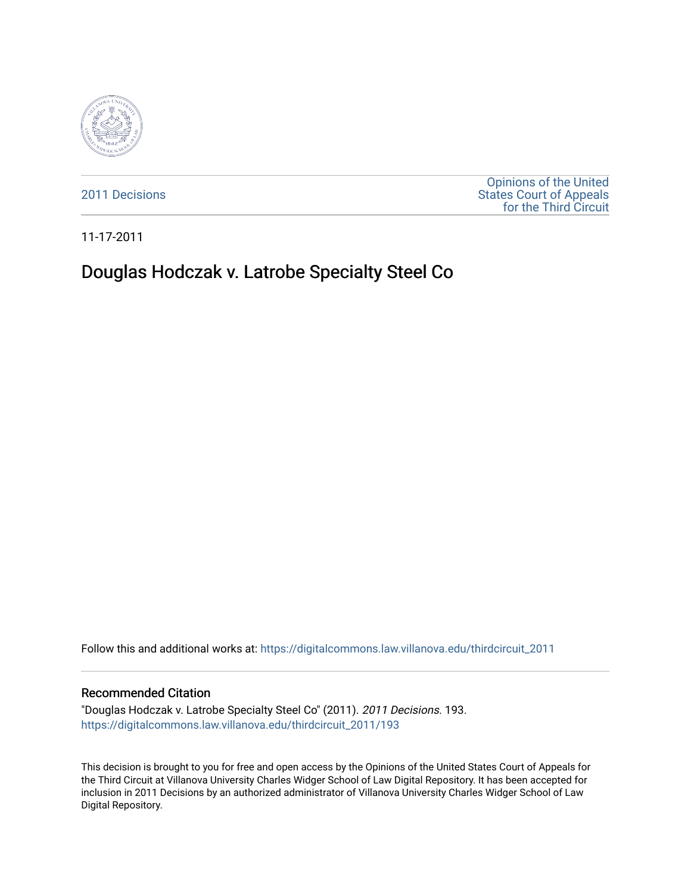

[2011 Decisions](https://digitalcommons.law.villanova.edu/thirdcircuit_2011)

[Opinions of the United](https://digitalcommons.law.villanova.edu/thirdcircuit)  [States Court of Appeals](https://digitalcommons.law.villanova.edu/thirdcircuit)  [for the Third Circuit](https://digitalcommons.law.villanova.edu/thirdcircuit) 

11-17-2011

# Douglas Hodczak v. Latrobe Specialty Steel Co

Follow this and additional works at: [https://digitalcommons.law.villanova.edu/thirdcircuit\\_2011](https://digitalcommons.law.villanova.edu/thirdcircuit_2011?utm_source=digitalcommons.law.villanova.edu%2Fthirdcircuit_2011%2F193&utm_medium=PDF&utm_campaign=PDFCoverPages) 

#### Recommended Citation

"Douglas Hodczak v. Latrobe Specialty Steel Co" (2011). 2011 Decisions. 193. [https://digitalcommons.law.villanova.edu/thirdcircuit\\_2011/193](https://digitalcommons.law.villanova.edu/thirdcircuit_2011/193?utm_source=digitalcommons.law.villanova.edu%2Fthirdcircuit_2011%2F193&utm_medium=PDF&utm_campaign=PDFCoverPages)

This decision is brought to you for free and open access by the Opinions of the United States Court of Appeals for the Third Circuit at Villanova University Charles Widger School of Law Digital Repository. It has been accepted for inclusion in 2011 Decisions by an authorized administrator of Villanova University Charles Widger School of Law Digital Repository.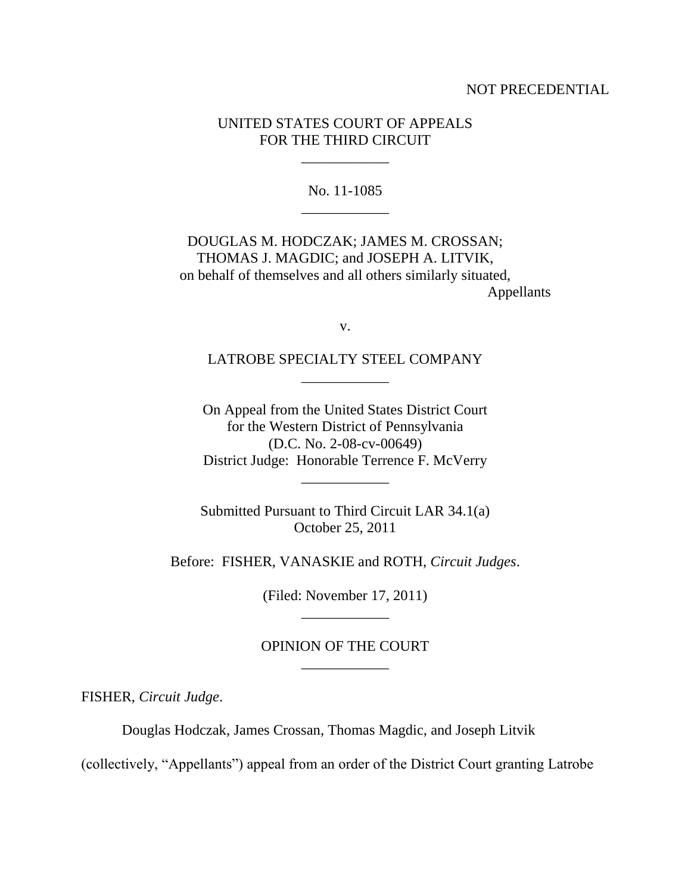## NOT PRECEDENTIAL

# UNITED STATES COURT OF APPEALS FOR THE THIRD CIRCUIT

\_\_\_\_\_\_\_\_\_\_\_\_

No. 11-1085 \_\_\_\_\_\_\_\_\_\_\_\_

DOUGLAS M. HODCZAK; JAMES M. CROSSAN; THOMAS J. MAGDIC; and JOSEPH A. LITVIK, on behalf of themselves and all others similarly situated, Appellants

v.

LATROBE SPECIALTY STEEL COMPANY \_\_\_\_\_\_\_\_\_\_\_\_

On Appeal from the United States District Court for the Western District of Pennsylvania (D.C. No. 2-08-cv-00649) District Judge: Honorable Terrence F. McVerry

\_\_\_\_\_\_\_\_\_\_\_\_

Submitted Pursuant to Third Circuit LAR 34.1(a) October 25, 2011

Before: FISHER, VANASKIE and ROTH, *Circuit Judges*.

(Filed: November 17, 2011) \_\_\_\_\_\_\_\_\_\_\_\_

# OPINION OF THE COURT \_\_\_\_\_\_\_\_\_\_\_\_

FISHER, *Circuit Judge*.

Douglas Hodczak, James Crossan, Thomas Magdic, and Joseph Litvik

(collectively, "Appellants") appeal from an order of the District Court granting Latrobe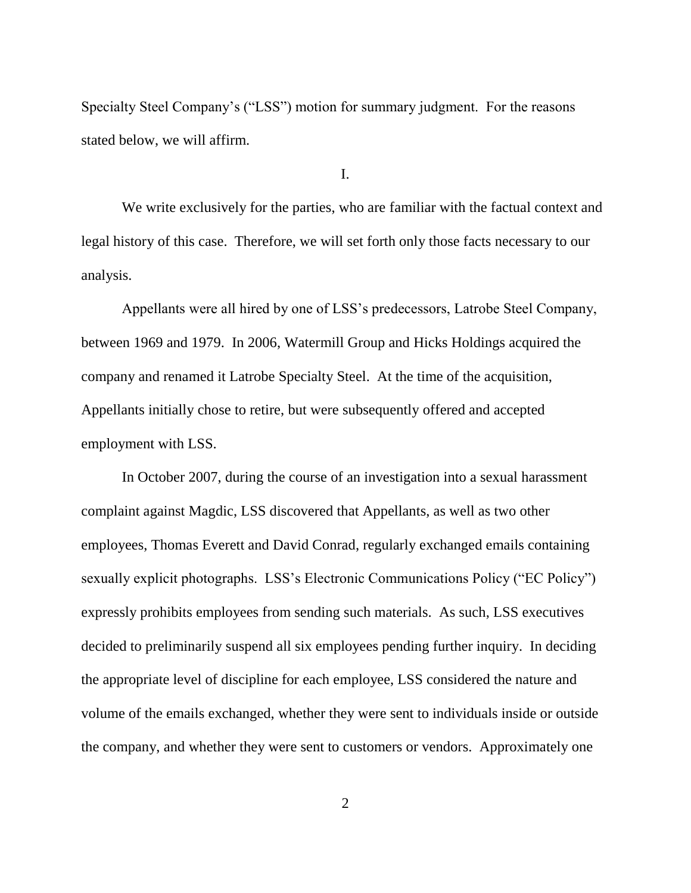Specialty Steel Company's ("LSS") motion for summary judgment. For the reasons stated below, we will affirm.

I.

We write exclusively for the parties, who are familiar with the factual context and legal history of this case. Therefore, we will set forth only those facts necessary to our analysis.

Appellants were all hired by one of LSS's predecessors, Latrobe Steel Company, between 1969 and 1979. In 2006, Watermill Group and Hicks Holdings acquired the company and renamed it Latrobe Specialty Steel. At the time of the acquisition, Appellants initially chose to retire, but were subsequently offered and accepted employment with LSS.

In October 2007, during the course of an investigation into a sexual harassment complaint against Magdic, LSS discovered that Appellants, as well as two other employees, Thomas Everett and David Conrad, regularly exchanged emails containing sexually explicit photographs. LSS's Electronic Communications Policy ("EC Policy") expressly prohibits employees from sending such materials. As such, LSS executives decided to preliminarily suspend all six employees pending further inquiry. In deciding the appropriate level of discipline for each employee, LSS considered the nature and volume of the emails exchanged, whether they were sent to individuals inside or outside the company, and whether they were sent to customers or vendors. Approximately one

2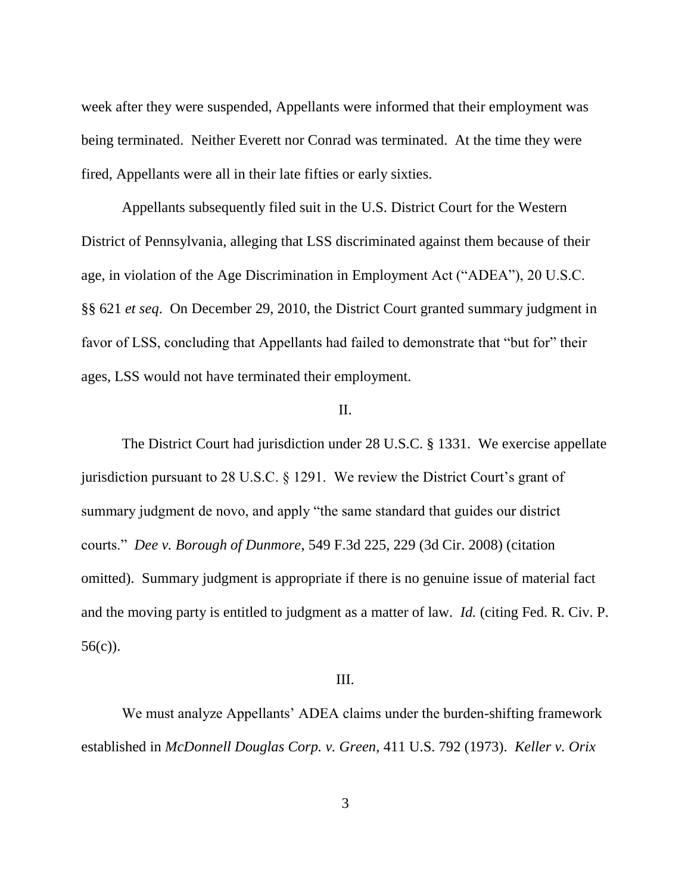week after they were suspended, Appellants were informed that their employment was being terminated. Neither Everett nor Conrad was terminated. At the time they were fired, Appellants were all in their late fifties or early sixties.

Appellants subsequently filed suit in the U.S. District Court for the Western District of Pennsylvania, alleging that LSS discriminated against them because of their age, in violation of the Age Discrimination in Employment Act ("ADEA"), 20 U.S.C. §§ 621 *et seq*. On December 29, 2010, the District Court granted summary judgment in favor of LSS, concluding that Appellants had failed to demonstrate that "but for" their ages, LSS would not have terminated their employment.

## II.

The District Court had jurisdiction under 28 U.S.C. § 1331. We exercise appellate jurisdiction pursuant to 28 U.S.C. § 1291. We review the District Court's grant of summary judgment de novo, and apply "the same standard that guides our district courts." *Dee v. Borough of Dunmore*, 549 F.3d 225, 229 (3d Cir. 2008) (citation omitted). Summary judgment is appropriate if there is no genuine issue of material fact and the moving party is entitled to judgment as a matter of law. *Id.* (citing Fed. R. Civ. P. 56(c)).

#### III.

We must analyze Appellants' ADEA claims under the burden-shifting framework established in *McDonnell Douglas Corp. v. Green*, 411 U.S. 792 (1973). *Keller v. Orix*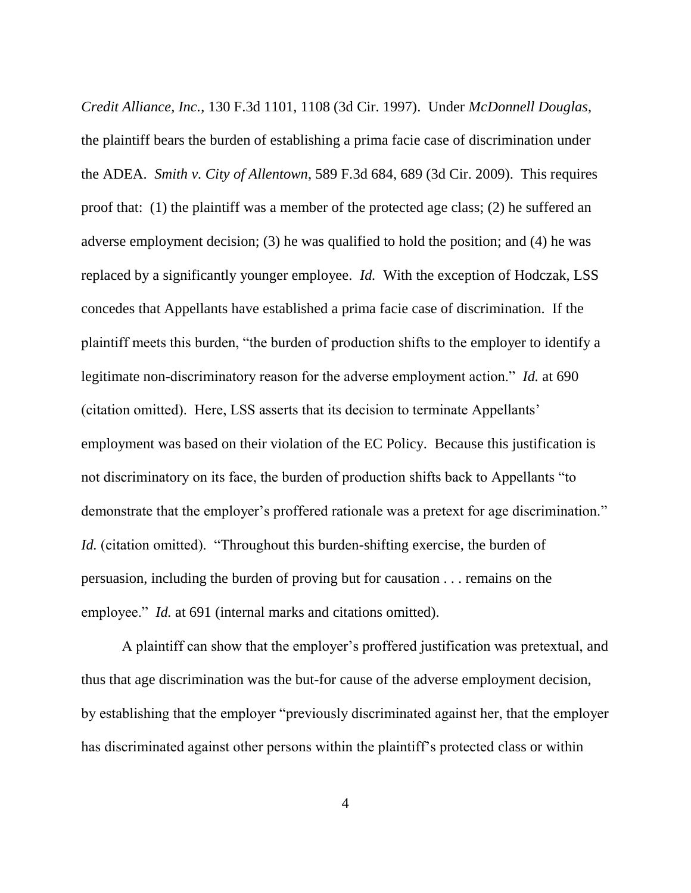*Credit Alliance, Inc.*, 130 F.3d 1101, 1108 (3d Cir. 1997). Under *McDonnell Douglas*, the plaintiff bears the burden of establishing a prima facie case of discrimination under the ADEA. *Smith v. City of Allentown*, 589 F.3d 684, 689 (3d Cir. 2009). This requires proof that: (1) the plaintiff was a member of the protected age class; (2) he suffered an adverse employment decision; (3) he was qualified to hold the position; and (4) he was replaced by a significantly younger employee. *Id.* With the exception of Hodczak, LSS concedes that Appellants have established a prima facie case of discrimination. If the plaintiff meets this burden, "the burden of production shifts to the employer to identify a legitimate non-discriminatory reason for the adverse employment action." *Id.* at 690 (citation omitted). Here, LSS asserts that its decision to terminate Appellants' employment was based on their violation of the EC Policy. Because this justification is not discriminatory on its face, the burden of production shifts back to Appellants "to demonstrate that the employer's proffered rationale was a pretext for age discrimination." *Id.* (citation omitted). "Throughout this burden-shifting exercise, the burden of persuasion, including the burden of proving but for causation . . . remains on the employee." *Id.* at 691 (internal marks and citations omitted).

A plaintiff can show that the employer's proffered justification was pretextual, and thus that age discrimination was the but-for cause of the adverse employment decision, by establishing that the employer "previously discriminated against her, that the employer has discriminated against other persons within the plaintiff's protected class or within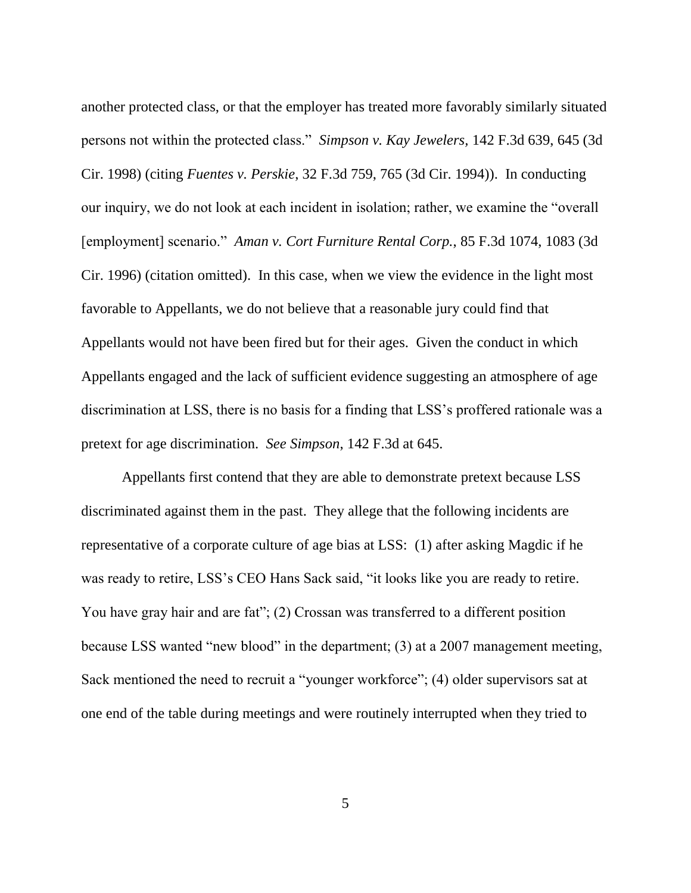another protected class, or that the employer has treated more favorably similarly situated persons not within the protected class." *Simpson v. Kay Jewelers,* 142 F.3d 639, 645 (3d Cir. 1998) (citing *Fuentes v. Perskie*, 32 F.3d 759, 765 (3d Cir. 1994)). In conducting our inquiry, we do not look at each incident in isolation; rather, we examine the "overall [employment] scenario." *Aman v. Cort Furniture Rental Corp.*, 85 F.3d 1074, 1083 (3d Cir. 1996) (citation omitted). In this case, when we view the evidence in the light most favorable to Appellants, we do not believe that a reasonable jury could find that Appellants would not have been fired but for their ages. Given the conduct in which Appellants engaged and the lack of sufficient evidence suggesting an atmosphere of age discrimination at LSS, there is no basis for a finding that LSS's proffered rationale was a pretext for age discrimination. *See Simpson*, 142 F.3d at 645.

Appellants first contend that they are able to demonstrate pretext because LSS discriminated against them in the past. They allege that the following incidents are representative of a corporate culture of age bias at LSS: (1) after asking Magdic if he was ready to retire, LSS's CEO Hans Sack said, "it looks like you are ready to retire. You have gray hair and are fat"; (2) Crossan was transferred to a different position because LSS wanted "new blood" in the department; (3) at a 2007 management meeting, Sack mentioned the need to recruit a "younger workforce"; (4) older supervisors sat at one end of the table during meetings and were routinely interrupted when they tried to

5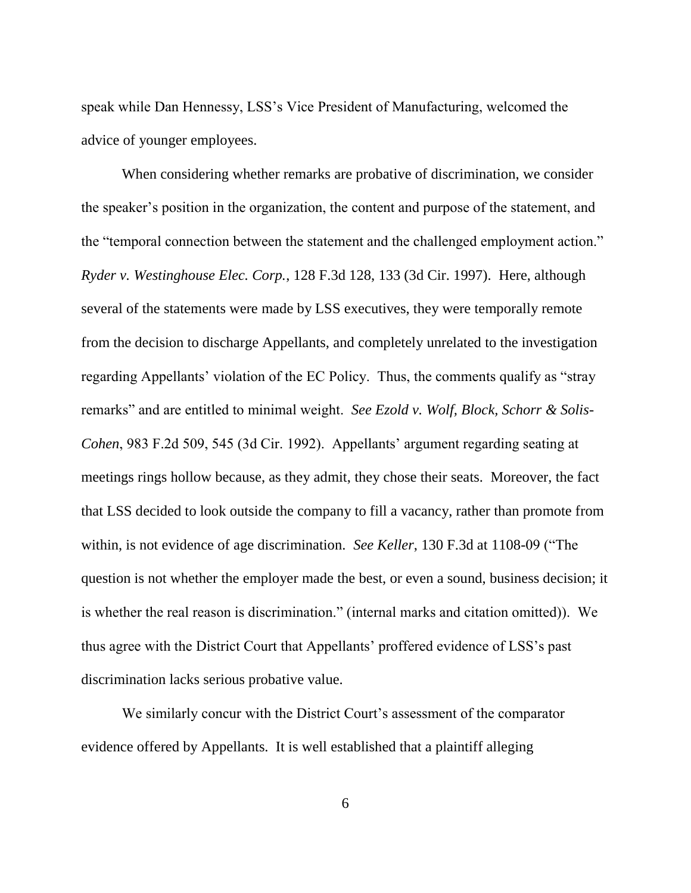speak while Dan Hennessy, LSS's Vice President of Manufacturing, welcomed the advice of younger employees.

When considering whether remarks are probative of discrimination, we consider the speaker's position in the organization, the content and purpose of the statement, and the "temporal connection between the statement and the challenged employment action." *Ryder v. Westinghouse Elec. Corp.*, 128 F.3d 128, 133 (3d Cir. 1997). Here, although several of the statements were made by LSS executives, they were temporally remote from the decision to discharge Appellants, and completely unrelated to the investigation regarding Appellants' violation of the EC Policy. Thus, the comments qualify as "stray remarks" and are entitled to minimal weight. *See Ezold v. Wolf, Block, Schorr & Solis-Cohen*, 983 F.2d 509, 545 (3d Cir. 1992). Appellants' argument regarding seating at meetings rings hollow because, as they admit, they chose their seats. Moreover, the fact that LSS decided to look outside the company to fill a vacancy, rather than promote from within, is not evidence of age discrimination. *See Keller*, 130 F.3d at 1108-09 ("The question is not whether the employer made the best, or even a sound, business decision; it is whether the real reason is discrimination." (internal marks and citation omitted)). We thus agree with the District Court that Appellants' proffered evidence of LSS's past discrimination lacks serious probative value.

We similarly concur with the District Court's assessment of the comparator evidence offered by Appellants. It is well established that a plaintiff alleging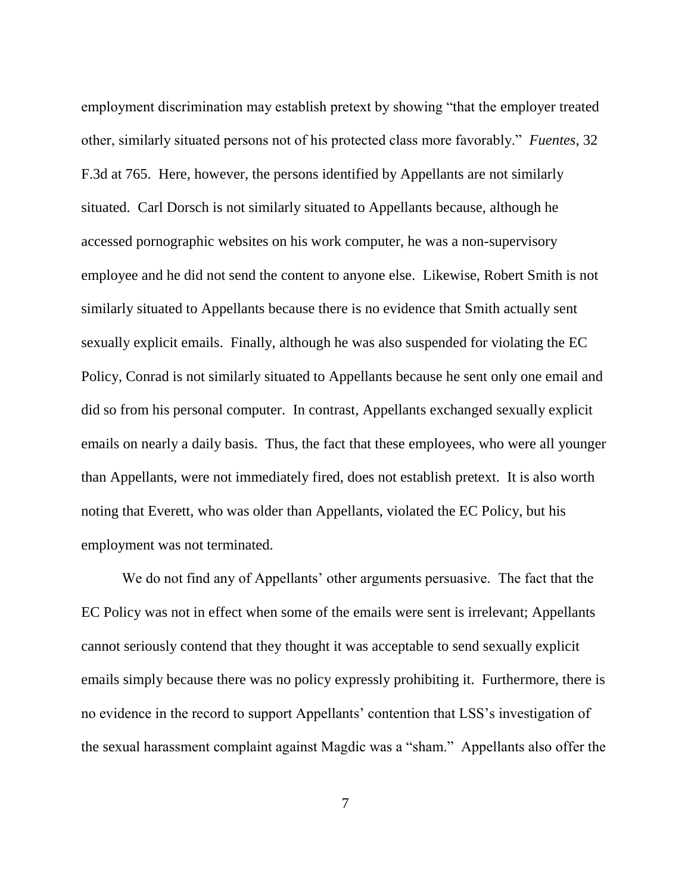employment discrimination may establish pretext by showing "that the employer treated other, similarly situated persons not of his protected class more favorably." *Fuentes*, 32 F.3d at 765. Here, however, the persons identified by Appellants are not similarly situated. Carl Dorsch is not similarly situated to Appellants because, although he accessed pornographic websites on his work computer, he was a non-supervisory employee and he did not send the content to anyone else. Likewise, Robert Smith is not similarly situated to Appellants because there is no evidence that Smith actually sent sexually explicit emails. Finally, although he was also suspended for violating the EC Policy, Conrad is not similarly situated to Appellants because he sent only one email and did so from his personal computer. In contrast, Appellants exchanged sexually explicit emails on nearly a daily basis. Thus, the fact that these employees, who were all younger than Appellants, were not immediately fired, does not establish pretext. It is also worth noting that Everett, who was older than Appellants, violated the EC Policy, but his employment was not terminated.

We do not find any of Appellants' other arguments persuasive. The fact that the EC Policy was not in effect when some of the emails were sent is irrelevant; Appellants cannot seriously contend that they thought it was acceptable to send sexually explicit emails simply because there was no policy expressly prohibiting it. Furthermore, there is no evidence in the record to support Appellants' contention that LSS's investigation of the sexual harassment complaint against Magdic was a "sham." Appellants also offer the

7